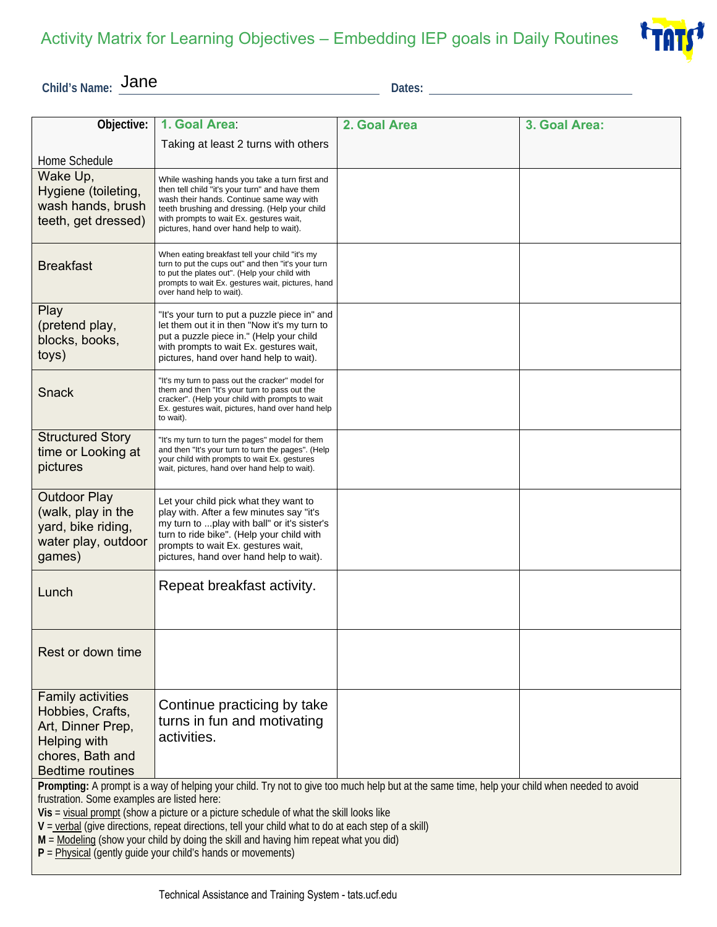

**Child's Name: Jane** Dates:

| Objective:                                                                                                                                                                                                                                                                                                                                                                                                                                                                                                                                              | 1. Goal Area:                                                                                                                                                                                                                                                                      | 2. Goal Area | 3. Goal Area: |
|---------------------------------------------------------------------------------------------------------------------------------------------------------------------------------------------------------------------------------------------------------------------------------------------------------------------------------------------------------------------------------------------------------------------------------------------------------------------------------------------------------------------------------------------------------|------------------------------------------------------------------------------------------------------------------------------------------------------------------------------------------------------------------------------------------------------------------------------------|--------------|---------------|
|                                                                                                                                                                                                                                                                                                                                                                                                                                                                                                                                                         | Taking at least 2 turns with others                                                                                                                                                                                                                                                |              |               |
| Home Schedule                                                                                                                                                                                                                                                                                                                                                                                                                                                                                                                                           |                                                                                                                                                                                                                                                                                    |              |               |
| Wake Up,<br>Hygiene (toileting,<br>wash hands, brush<br>teeth, get dressed)                                                                                                                                                                                                                                                                                                                                                                                                                                                                             | While washing hands you take a turn first and<br>then tell child "it's your turn" and have them<br>wash their hands. Continue same way with<br>teeth brushing and dressing. (Help your child<br>with prompts to wait Ex. gestures wait,<br>pictures, hand over hand help to wait). |              |               |
| <b>Breakfast</b>                                                                                                                                                                                                                                                                                                                                                                                                                                                                                                                                        | When eating breakfast tell your child "it's my<br>turn to put the cups out" and then "it's your turn<br>to put the plates out". (Help your child with<br>prompts to wait Ex. gestures wait, pictures, hand<br>over hand help to wait).                                             |              |               |
| Play<br>(pretend play,<br>blocks, books,<br>toys)                                                                                                                                                                                                                                                                                                                                                                                                                                                                                                       | "It's your turn to put a puzzle piece in" and<br>let them out it in then "Now it's my turn to<br>put a puzzle piece in." (Help your child<br>with prompts to wait Ex. gestures wait,<br>pictures, hand over hand help to wait).                                                    |              |               |
| <b>Snack</b>                                                                                                                                                                                                                                                                                                                                                                                                                                                                                                                                            | "It's my turn to pass out the cracker" model for<br>them and then "It's your turn to pass out the<br>cracker". (Help your child with prompts to wait<br>Ex. gestures wait, pictures, hand over hand help<br>to wait).                                                              |              |               |
| <b>Structured Story</b><br>time or Looking at<br>pictures                                                                                                                                                                                                                                                                                                                                                                                                                                                                                               | "It's my turn to turn the pages" model for them<br>and then "It's your turn to turn the pages". (Help<br>your child with prompts to wait Ex. gestures<br>wait, pictures, hand over hand help to wait).                                                                             |              |               |
| <b>Outdoor Play</b><br>(walk, play in the<br>yard, bike riding,<br>water play, outdoor<br>games)                                                                                                                                                                                                                                                                                                                                                                                                                                                        | Let your child pick what they want to<br>play with. After a few minutes say "it's<br>my turn to  play with ball" or it's sister's<br>turn to ride bike". (Help your child with<br>prompts to wait Ex. gestures wait,<br>pictures, hand over hand help to wait).                    |              |               |
| Lunch                                                                                                                                                                                                                                                                                                                                                                                                                                                                                                                                                   | Repeat breakfast activity.                                                                                                                                                                                                                                                         |              |               |
| Rest or down time                                                                                                                                                                                                                                                                                                                                                                                                                                                                                                                                       |                                                                                                                                                                                                                                                                                    |              |               |
| <b>Family activities</b><br>Hobbies, Crafts,<br>Art, Dinner Prep,<br>Helping with<br>chores, Bath and<br><b>Bedtime routines</b>                                                                                                                                                                                                                                                                                                                                                                                                                        | Continue practicing by take<br>turns in fun and motivating<br>activities.                                                                                                                                                                                                          |              |               |
| Prompting: A prompt is a way of helping your child. Try not to give too much help but at the same time, help your child when needed to avoid<br>frustration. Some examples are listed here:<br>Vis = visual prompt (show a picture or a picture schedule of what the skill looks like<br>$V =$ verbal (give directions, repeat directions, tell your child what to do at each step of a skill)<br>M = Modeling (show your child by doing the skill and having him repeat what you did)<br>$P =$ Physical (gently guide your child's hands or movements) |                                                                                                                                                                                                                                                                                    |              |               |